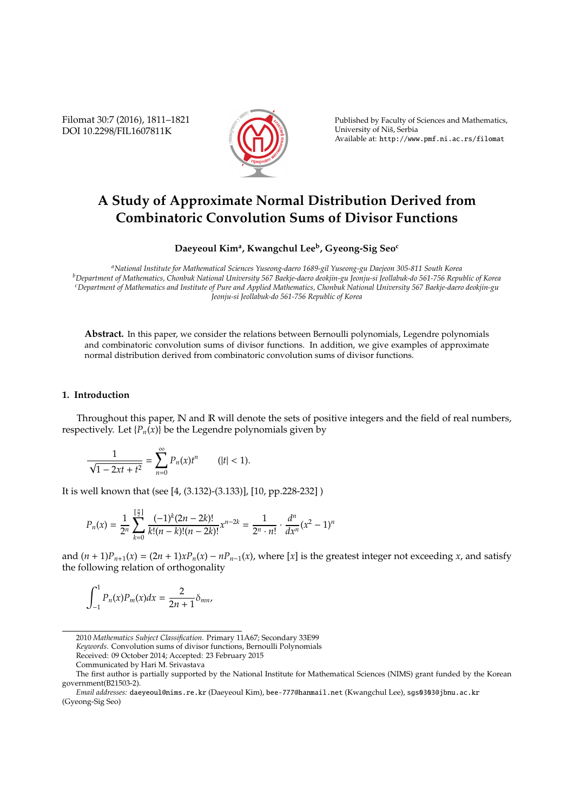Filomat 30:7 (2016), 1811–1821 DOI 10.2298/FIL1607811K



Published by Faculty of Sciences and Mathematics, University of Nis, Serbia ˇ Available at: http://www.pmf.ni.ac.rs/filomat

# **A Study of Approximate Normal Distribution Derived from Combinatoric Convolution Sums of Divisor Functions**

# **Daeyeoul Kim<sup>a</sup> , Kwangchul Lee<sup>b</sup> , Gyeong-Sig Seo<sup>c</sup>**

*<sup>a</sup>National Institute for Mathematical Sciences Yuseong-daero 1689-gil Yuseong-gu Daejeon 305-811 South Korea <sup>b</sup>Department of Mathematics, Chonbuk National University 567 Baekje-daero deokjin-gu Jeonju-si Jeollabuk-do 561-756 Republic of Korea <sup>c</sup>Department of Mathematics and Institute of Pure and Applied Mathematics, Chonbuk National University 567 Baekje-daero deokjin-gu Jeonju-si Jeollabuk-do 561-756 Republic of Korea*

**Abstract.** In this paper, we consider the relations between Bernoulli polynomials, Legendre polynomials and combinatoric convolution sums of divisor functions. In addition, we give examples of approximate normal distribution derived from combinatoric convolution sums of divisor functions.

### **1. Introduction**

Throughout this paper, N and R will denote the sets of positive integers and the field of real numbers, respectively. Let  $\{P_n(x)\}\$  be the Legendre polynomials given by

$$
\frac{1}{\sqrt{1-2xt+t^2}} = \sum_{n=0}^{\infty} P_n(x)t^n \qquad (|t| < 1).
$$

It is well known that (see [4, (3.132)-(3.133)], [10, pp.228-232] )

$$
P_n(x) = \frac{1}{2^n} \sum_{k=0}^{\lfloor \frac{n}{2} \rfloor} \frac{(-1)^k (2n-2k)!}{k!(n-k)!(n-2k)!} x^{n-2k} = \frac{1}{2^n \cdot n!} \cdot \frac{d^n}{dx^n} (x^2 - 1)^n
$$

and  $(n + 1)P_{n+1}(x) = (2n + 1)xP_n(x) - nP_{n-1}(x)$ , where [x] is the greatest integer not exceeding x, and satisfy the following relation of orthogonality

$$
\int_{-1}^{1} P_n(x) P_m(x) dx = \frac{2}{2n+1} \delta_{mn},
$$

Received: 09 October 2014; Accepted: 23 February 2015

<sup>2010</sup> *Mathematics Subject Classification*. Primary 11A67; Secondary 33E99

*Keywords*. Convolution sums of divisor functions, Bernoulli Polynomials

Communicated by Hari M. Srivastava

The first author is partially supported by the National Institute for Mathematical Sciences (NIMS) grant funded by the Korean government(B21503-2).

*Email addresses:* daeyeoul@nims.re.kr (Daeyeoul Kim), bee-777@hanmail.net (Kwangchul Lee), sgs0303@jbnu.ac.kr (Gyeong-Sig Seo)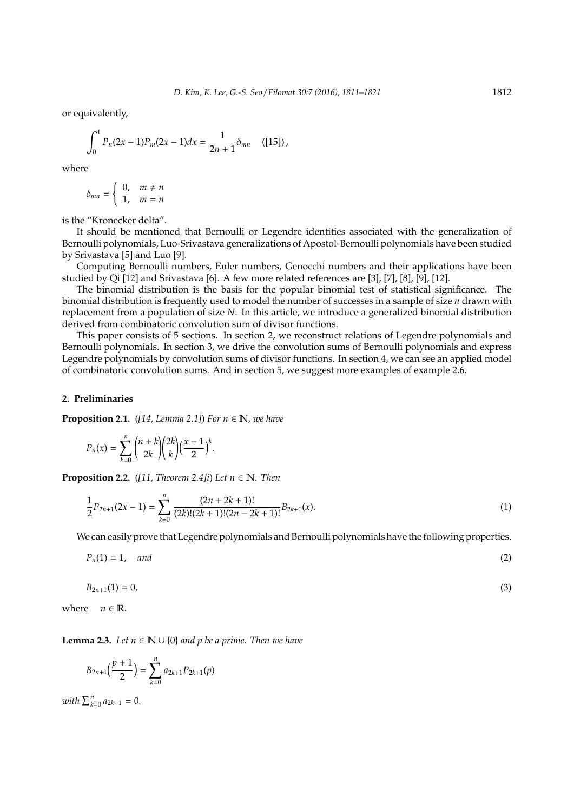or equivalently,

$$
\int_0^1 P_n(2x-1)P_m(2x-1)dx = \frac{1}{2n+1}\delta_{mn} \quad \text{([15])},
$$

where

$$
\delta_{mn} = \begin{cases} 0, & m \neq n \\ 1, & m = n \end{cases}
$$

is the "Kronecker delta".

It should be mentioned that Bernoulli or Legendre identities associated with the generalization of Bernoulli polynomials, Luo-Srivastava generalizations of Apostol-Bernoulli polynomials have been studied by Srivastava [5] and Luo [9].

Computing Bernoulli numbers, Euler numbers, Genocchi numbers and their applications have been studied by Qi [12] and Srivastava [6]. A few more related references are [3], [7], [8], [9], [12].

The binomial distribution is the basis for the popular binomial test of statistical significance. The binomial distribution is frequently used to model the number of successes in a sample of size *n* drawn with replacement from a population of size *N*. In this article, we introduce a generalized binomial distribution derived from combinatoric convolution sum of divisor functions.

This paper consists of 5 sections. In section 2, we reconstruct relations of Legendre polynomials and Bernoulli polynomials. In section 3, we drive the convolution sums of Bernoulli polynomials and express Legendre polynomials by convolution sums of divisor functions. In section 4, we can see an applied model of combinatoric convolution sums. And in section 5, we suggest more examples of example 2.6.

### **2. Preliminaries**

**Proposition 2.1.** ( $[14, Lemma 2.1]$ ) For  $n \in \mathbb{N}$ , we have

$$
P_n(x) = \sum_{k=0}^n {n+k \choose 2k} {2k \choose k} \left(\frac{x-1}{2}\right)^k.
$$

**Proposition 2.2.** ([11, Theorem 2.4]i) Let  $n \in \mathbb{N}$ . Then

$$
\frac{1}{2}P_{2n+1}(2x-1) = \sum_{k=0}^{n} \frac{(2n+2k+1)!}{(2k)!(2k+1)!(2n-2k+1)!} B_{2k+1}(x).
$$
\n(1)

We can easily prove that Legendre polynomials and Bernoulli polynomials have the following properties.

$$
P_n(1) = 1, \quad and \tag{2}
$$

$$
B_{2n+1}(1) = 0,\t\t(3)
$$

where  $n \in \mathbb{R}$ .

**Lemma 2.3.** *Let*  $n \in \mathbb{N} \cup \{0\}$  *and p be a prime. Then we have* 

$$
B_{2n+1}\left(\frac{p+1}{2}\right) = \sum_{k=0}^{n} a_{2k+1} P_{2k+1}(p)
$$

*with*  $\sum_{k=0}^{n} a_{2k+1} = 0$ *.*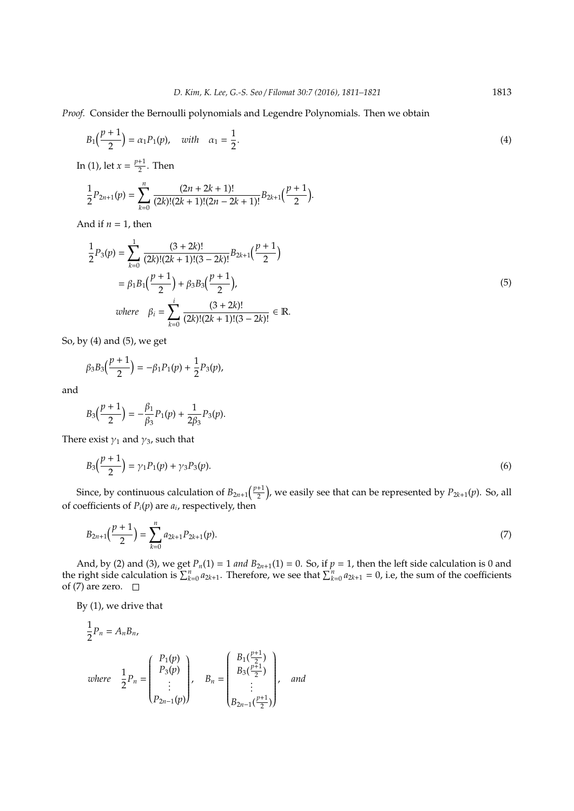*Proof.* Consider the Bernoulli polynomials and Legendre Polynomials. Then we obtain

$$
B_1\left(\frac{p+1}{2}\right) = \alpha_1 P_1(p), \quad with \quad \alpha_1 = \frac{1}{2}.\tag{4}
$$

In (1), let  $x = \frac{p+1}{2}$  $\frac{1}{2}$ . Then

$$
\frac{1}{2}P_{2n+1}(p) = \sum_{k=0}^{n} \frac{(2n+2k+1)!}{(2k)!(2k+1)!(2n-2k+1)!} B_{2k+1}\left(\frac{p+1}{2}\right).
$$

And if  $n = 1$ , then

$$
\frac{1}{2}P_3(p) = \sum_{k=0}^{1} \frac{(3+2k)!}{(2k)!(2k+1)!(3-2k)!} B_{2k+1}\left(\frac{p+1}{2}\right)
$$
  
=  $\beta_1 B_1 \left(\frac{p+1}{2}\right) + \beta_3 B_3 \left(\frac{p+1}{2}\right)$ ,  
where  $\beta_i = \sum_{k=0}^{i} \frac{(3+2k)!}{(2k)!(2k+1)!(3-2k)!} \in \mathbb{R}$ . (5)

So, by (4) and (5), we get

$$
\beta_3 B_3\left(\frac{p+1}{2}\right) = -\beta_1 P_1(p) + \frac{1}{2} P_3(p),
$$

and

$$
B_3\left(\frac{p+1}{2}\right) = -\frac{\beta_1}{\beta_3}P_1(p) + \frac{1}{2\beta_3}P_3(p).
$$

There exist  $\gamma_1$  and  $\gamma_3$ , such that

$$
B_3\left(\frac{p+1}{2}\right) = \gamma_1 P_1(p) + \gamma_3 P_3(p). \tag{6}
$$

Since, by continuous calculation of  $B_{2n+1}\left(\frac{p+1}{2}\right)$  $\left(\frac{1}{2}\right)$ , we easily see that can be represented by  $P_{2k+1}(p)$ . So, all of coefficients of  $P_i(p)$  are  $a_i$ , respectively, then

$$
B_{2n+1}\left(\frac{p+1}{2}\right) = \sum_{k=0}^{n} a_{2k+1} P_{2k+1}(p). \tag{7}
$$

And, by (2) and (3), we get  $P_n(1) = 1$  *and*  $B_{2n+1}(1) = 0$ . So, if  $p = 1$ , then the left side calculation is 0 and the right side calculation is  $\sum_{k=0}^{n} a_{2k+1}$ . Therefore, we see that  $\sum_{k=0}^{n} a_{2k+1} = 0$ , i.e, the sum of the coefficients of (7) are zero.  $\square$ 

By (1), we drive that

$$
\frac{1}{2}P_n = A_n B_n,
$$
\nwhere\n
$$
\frac{1}{2}P_n = \begin{pmatrix} P_1(p) \\ P_3(p) \\ \vdots \\ P_{2n-1}(p) \end{pmatrix}, \quad B_n = \begin{pmatrix} B_1(\frac{p+1}{2}) \\ B_3(\frac{p+1}{2}) \\ \vdots \\ B_{2n-1}(\frac{p+1}{2}) \end{pmatrix}, \quad and
$$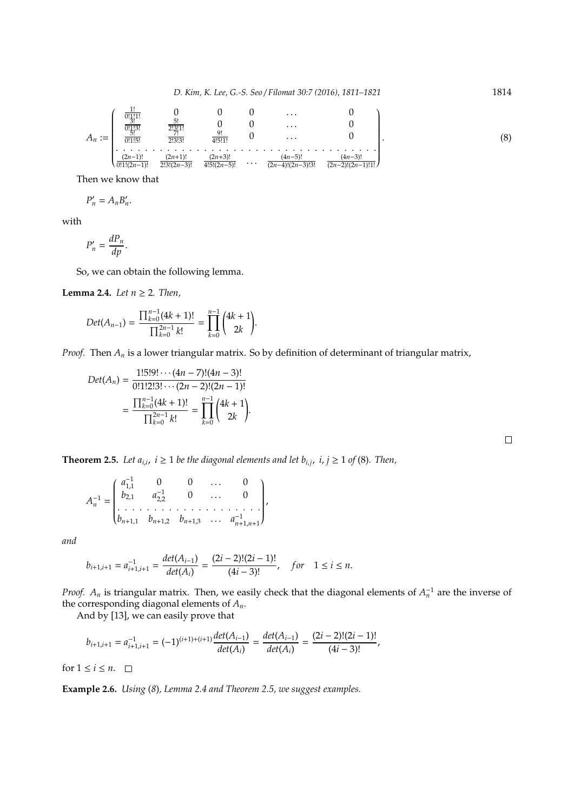$$
A_n := \begin{pmatrix} \frac{1!}{0! \frac{1!}{3!}!} & 0 & 0 & 0 & \dots & 0 \\ \frac{1!}{0! \frac{1!}{3!}!} & \frac{5!}{2! \frac{2!}{3!}!} & 0 & 0 & \dots & 0 \\ \frac{1!}{0! \frac{1!}{3!}!} & \frac{2!}{2! \frac{3!}{3!}!} & \frac{9!}{4! \frac{5!}{3!}!} & 0 & \dots & 0 \\ \vdots & \vdots & \vdots & \vdots & \ddots & \vdots & \vdots \\ \frac{(2n-1)!}{0! \frac{1!}{3!} \frac{2!}{2!}! \frac{2!}{3!}!} & \frac{(2n+3)!}{4! \frac{5!}{3!} \frac{2!}{3!}!} & \dots & \frac{(4n-5)!}{(2n-4)!(2n-3)! \frac{3!}{3!}!} & \frac{(4n-3)!}{(2n-2)!(2n-1)! \frac{1!}{3!}!} \end{pmatrix} .
$$
\n
$$
(8)
$$

Then we know that

$$
P_n' = A_n B_n'.
$$

with

$$
P'_n = \frac{dP_n}{dp}.
$$

So, we can obtain the following lemma.

**Lemma 2.4.** *Let*  $n \geq 2$ *. Then,* 

$$
Det(A_{n-1}) = \frac{\prod_{k=0}^{n-1}(4k+1)!}{\prod_{k=0}^{2n-1}k!} = \prod_{k=0}^{n-1} {4k+1 \choose 2k}.
$$

*Proof.* Then *A<sup>n</sup>* is a lower triangular matrix. So by definition of determinant of triangular matrix,

$$
Det(A_n) = \frac{1!5!9! \cdots (4n-7)!(4n-3)!}{0!1!2!3! \cdots (2n-2)!(2n-1)!}
$$

$$
= \frac{\prod_{k=0}^{n-1} (4k+1)!}{\prod_{k=0}^{2n-1} k!} = \prod_{k=0}^{n-1} {4k+1 \choose 2k}.
$$

**Theorem 2.5.** Let  $a_{i,i}$ ,  $i \geq 1$  be the diagonal elements and let  $b_{i,j}$ ,  $i, j \geq 1$  of (8). Then,

$$
A_n^{-1} = \begin{pmatrix} a_{1,1}^{-1} & 0 & 0 & \dots & 0 \\ b_{2,1} & a_{2,2}^{-1} & 0 & \dots & 0 \\ \vdots & \vdots & \vdots & \ddots & \vdots \\ b_{n+1,1} & b_{n+1,2} & b_{n+1,3} & \dots & a_{n+1,n+1}^{-1} \end{pmatrix},
$$

*and*

$$
b_{i+1,i+1} = a_{i+1,i+1}^{-1} = \frac{det(A_{i-1})}{det(A_i)} = \frac{(2i-2)!(2i-1)!}{(4i-3)!}, \quad for \quad 1 \le i \le n.
$$

*Proof.*  $A_n$  is triangular matrix. Then, we easily check that the diagonal elements of  $A_n^{-1}$  are the inverse of the corresponding diagonal elements of *An*.

 $\Box$ 

And by [13], we can easily prove that

$$
b_{i+1,i+1} = a_{i+1,i+1}^{-1} = (-1)^{(i+1)+(i+1)} \frac{det(A_{i-1})}{det(A_i)} = \frac{det(A_{i-1})}{det(A_i)} = \frac{(2i-2)!(2i-1)!}{(4i-3)!},
$$

for  $1 \le i \le n$ .  $\Box$ 

**Example 2.6.** *Using* (*8*)*, Lemma 2.4 and Theorem 2.5, we suggest examples.*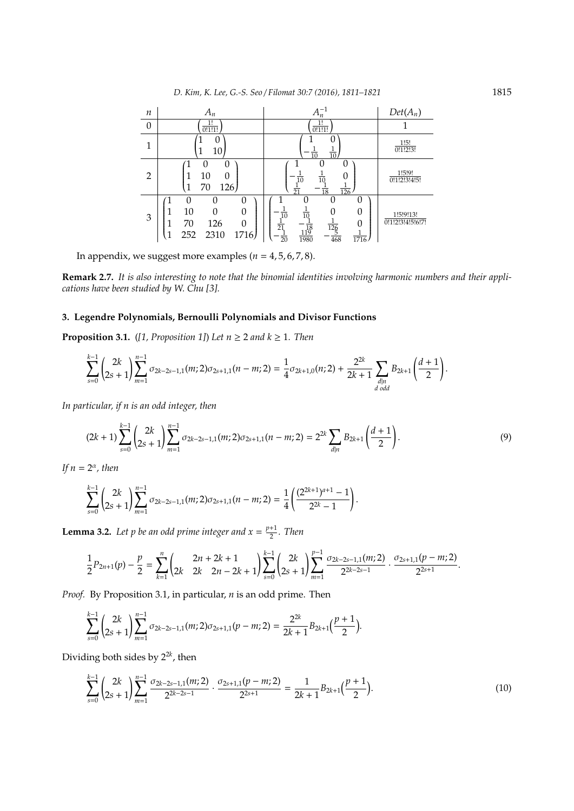| $\boldsymbol{n}$ | $A_n$                                                                                  | $A_n^{-1}$                                                                                                                                           | $Det(A_n)$                    |
|------------------|----------------------------------------------------------------------------------------|------------------------------------------------------------------------------------------------------------------------------------------------------|-------------------------------|
| 0                | 1!<br>0!1!1!                                                                           | 1!<br>0!1!1!                                                                                                                                         |                               |
|                  | 0<br>10                                                                                | $\frac{1}{10}$<br>$\frac{1}{10}$                                                                                                                     | 1!5!<br>0!1!2!3!              |
| $\overline{2}$   | Ω<br>0<br>10<br>0<br>126<br>70                                                         | 0<br>$rac{1}{10}$<br>$\overline{10}$<br>$\overline{21}$<br>$\overline{126}$<br>18                                                                    | 1!5!9!<br>0!1!2!3!4!5!        |
| 3                | 0<br>0<br>$\mathbf{0}$<br>10<br>0<br>70<br>126<br>$\Omega$<br>2310<br>252<br>1716<br>1 | ( )<br>O<br>$\frac{1}{10}$<br>0<br>$\overline{10}$<br>O<br>$rac{1}{21}$<br>$\frac{126}{5}$<br>$\frac{1}{119}$<br>$rac{1}{20}$<br>1980<br>468<br>1716 | 1!5!9!13!<br>0!1!2!3!4!5!6!7! |

In appendix, we suggest more examples  $(n = 4, 5, 6, 7, 8)$ .

**Remark 2.7.** *It is also interesting to note that the binomial identities involving harmonic numbers and their applications have been studied by W. Chu [3].*

# **3. Legendre Polynomials, Bernoulli Polynomials and Divisor Functions**

**Proposition 3.1.** ([1, Proposition 1]) Let  $n \geq 2$  and  $k \geq 1$ . Then

$$
\sum_{s=0}^{k-1}\binom{2k}{2s+1}\sum_{m=1}^{n-1}\sigma_{2k-2s-1,1}(m;2)\sigma_{2s+1,1}(n-m;2)=\frac{1}{4}\sigma_{2k+1,0}(n;2)+\frac{2^{2k}}{2k+1}\sum_{\substack{d\mid n\\ d\text{ odd}}}{B_{2k+1}\left(\frac{d+1}{2}\right)}.
$$

*In particular, if n is an odd integer, then*

$$
(2k+1)\sum_{s=0}^{k-1} {2k \choose 2s+1} \sum_{m=1}^{n-1} \sigma_{2k-2s-1,1}(m;2)\sigma_{2s+1,1}(n-m;2) = 2^{2k} \sum_{d|n} B_{2k+1}\left(\frac{d+1}{2}\right).
$$
 (9)

*If*  $n = 2^{\alpha}$ *, then* 

$$
\sum_{s=0}^{k-1}\binom{2k}{2s+1}\sum_{m=1}^{n-1}\sigma_{2k-2s-1,1}(m;2)\sigma_{2s+1,1}(n-m;2)=\frac{1}{4}\left(\frac{(2^{2k+1})^{a+1}-1}{2^{2k}-1}\right).
$$

**Lemma 3.2.** Let p be an odd prime integer and  $x = \frac{p+1}{2}$  $\frac{1}{2}$ . Then

$$
\frac{1}{2}P_{2n+1}(p)-\frac{p}{2}=\sum_{k=1}^n\begin{pmatrix}2n+2k+1\\ 2k & 2n-2k+1\end{pmatrix}\sum_{s=0}^{k-1}\begin{pmatrix}2k\\ 2s+1\end{pmatrix}\sum_{m=1}^{p-1}\frac{\sigma_{2k-2s-1,1}(m;2)}{2^{2k-2s-1}}\cdot\frac{\sigma_{2s+1,1}(p-m;2)}{2^{2s+1}}.
$$

*Proof.* By Proposition 3.1, in particular, *n* is an odd prime. Then

$$
\sum_{s=0}^{k-1}\binom{2k}{2s+1}\sum_{m=1}^{n-1}\sigma_{2k-2s-1,1}(m;2)\sigma_{2s+1,1}(p-m;2)=\frac{2^{2k}}{2k+1}B_{2k+1}\big(\frac{p+1}{2}\big).
$$

Dividing both sides by  $2^{2k}$ , then

$$
\sum_{s=0}^{k-1} {2k \choose 2s+1} \sum_{m=1}^{n-1} \frac{\sigma_{2k-2s-1,1}(m;2)}{2^{2k-2s-1}} \cdot \frac{\sigma_{2s+1,1}(p-m;2)}{2^{2s+1}} = \frac{1}{2k+1} B_{2k+1} \left(\frac{p+1}{2}\right).
$$
(10)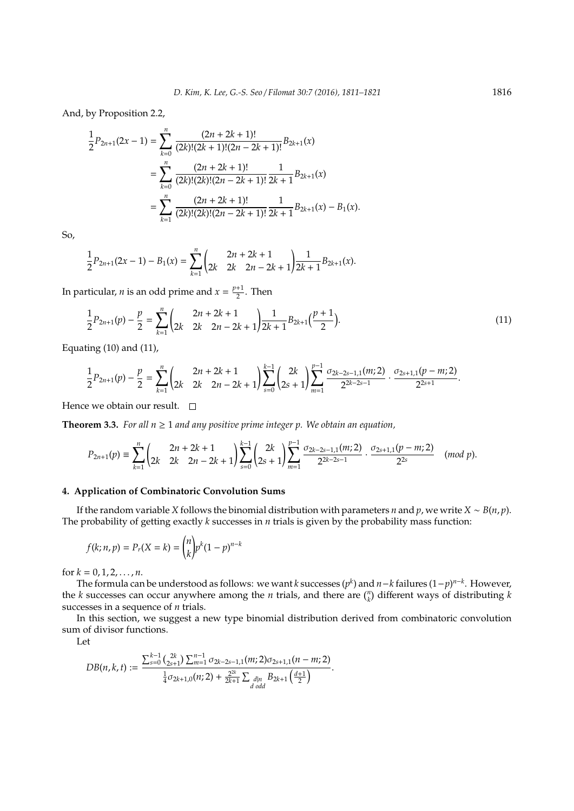And, by Proposition 2.2,

$$
\frac{1}{2}P_{2n+1}(2x-1) = \sum_{k=0}^{n} \frac{(2n+2k+1)!}{(2k)!(2k+1)!(2n-2k+1)!} B_{2k+1}(x)
$$

$$
= \sum_{k=0}^{n} \frac{(2n+2k+1)!}{(2k)!(2k)!(2n-2k+1)!} \frac{1}{2k+1} B_{2k+1}(x)
$$

$$
= \sum_{k=1}^{n} \frac{(2n+2k+1)!}{(2k)!(2k)!(2n-2k+1)!} \frac{1}{2k+1} B_{2k+1}(x) - B_1(x).
$$

So,

$$
\frac{1}{2}P_{2n+1}(2x-1)-B_1(x)=\sum_{k=1}^n\begin{pmatrix}2n+2k+1\\ 2k-2k-2n-2k+1\end{pmatrix}\frac{1}{2k+1}B_{2k+1}(x).
$$

In particular, *n* is an odd prime and  $x = \frac{p+1}{2}$  $\frac{1}{2}$ . Then

$$
\frac{1}{2}P_{2n+1}(p) - \frac{p}{2} = \sum_{k=1}^{n} \binom{2n+2k+1}{2k-2k-2k+1} \frac{1}{2k+1} B_{2k+1}(\frac{p+1}{2}).
$$
\n(11)

Equating  $(10)$  and  $(11)$ ,

$$
\frac{1}{2}P_{2n+1}(p)-\frac{p}{2}=\sum_{k=1}^n\begin{pmatrix}2n+2k+1\\ 2k & 2n-2k+1\end{pmatrix}\sum_{s=0}^{k-1}\begin{pmatrix}2k\\ 2s+1\end{pmatrix}\sum_{m=1}^{p-1}\frac{\sigma_{2k-2s-1,1}(m;2)}{2^{2k-2s-1}}\cdot\frac{\sigma_{2s+1,1}(p-m;2)}{2^{2s+1}}.
$$

Hence we obtain our result.  $\square$ 

**Theorem 3.3.** For all  $n \geq 1$  and any positive prime integer p. We obtain an equation,

$$
P_{2n+1}(p) \equiv \sum_{k=1}^{n} \begin{pmatrix} 2n+2k+1 \\ 2k & 2n-2k+1 \end{pmatrix} \sum_{s=0}^{k-1} \begin{pmatrix} 2k \\ 2s+1 \end{pmatrix} \sum_{m=1}^{p-1} \frac{\sigma_{2k-2s-1,1}(m;2)}{2^{2k-2s-1}} \cdot \frac{\sigma_{2s+1,1}(p-m;2)}{2^{2s}} \pmod{p}.
$$

## **4. Application of Combinatoric Convolution Sums**

If the random variable *X* follows the binomial distribution with parameters *n* and *p*, we write *X* ∼ *B*(*n*, *p*). The probability of getting exactly *k* successes in *n* trials is given by the probability mass function:

$$
f(k; n, p) = P_r(X = k) = {n \choose k} p^k (1 - p)^{n - k}
$$

for  $k = 0, 1, 2, ..., n$ .

The formula can be understood as follows: we want *k* successes (*p k* ) and *n*−*k* failures (1−*p*) *n*−*k* . However, the *k* successes can occur anywhere among the *n* trials, and there are  $\binom{n}{k}$  different ways of distributing *k* successes in a sequence of *n* trials.

In this section, we suggest a new type binomial distribution derived from combinatoric convolution sum of divisor functions.

Let

$$
DB(n,k,t) := \frac{\sum_{s=0}^{k-1} {2k \choose 2s+1} \sum_{m=1}^{n-1} \sigma_{2k-2s-1,1}(m;2) \sigma_{2s+1,1}(n-m;2)}{\frac{1}{4} \sigma_{2k+1,0}(n;2) + \frac{2^{2k}}{2k+1} \sum_{\substack{d \mid n \\ d \text{ odd}}} \frac{B_{2k+1} \left(\frac{d+1}{2}\right)}{\sigma_{2k+1} \left(\frac{d+1}{2}\right)}.
$$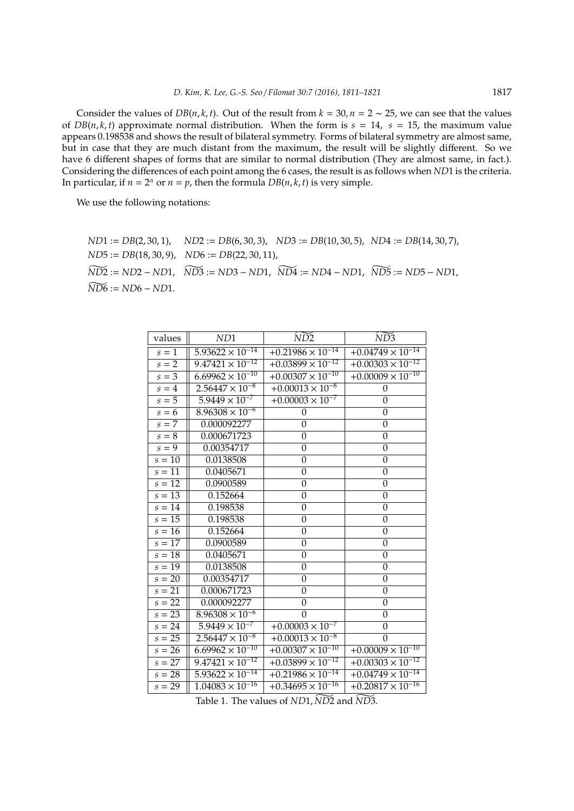Consider the values of  $DB(n, k, t)$ . Out of the result from  $k = 30$ ,  $n = 2 \sim 25$ , we can see that the values of  $DB(n, k, t)$  approximate normal distribution. When the form is  $s = 14$ ,  $s = 15$ , the maximum value appears 0.198538 and shows the result of bilateral symmetry. Forms of bilateral symmetry are almost same, but in case that they are much distant from the maximum, the result will be slightly different. So we have 6 different shapes of forms that are similar to normal distribution (They are almost same, in fact.). Considering the differences of each point among the 6 cases, the result is as follows when *ND*1 is the criteria. In particular, if  $n = 2^{\alpha}$  or  $n = p$ , then the formula  $DB(n, k, t)$  is very simple.

We use the following notations:

*ND*1 := *DB*(2, 30, 1), *ND*2 := *DB*(6, 30, 3), *ND*3 := *DB*(10, 30, 5), *ND*4 := *DB*(14, 30, 7), *ND*5 := *DB*(18, 30, 9), *ND*6 := *DB*(22, 30, 11), *ND*]2 :<sup>=</sup> *ND*<sup>2</sup> <sup>−</sup> *ND*1, *ND*]3 :<sup>=</sup> *ND*<sup>3</sup> <sup>−</sup> *ND*1, *ND*]4 :<sup>=</sup> *ND*<sup>4</sup> <sup>−</sup> *ND*1, *ND*]5 :<sup>=</sup> *ND*<sup>5</sup> <sup>−</sup> *ND*1,  $\widetilde{N\text{D6}} := \text{N}\text{D}6 - \text{N}\text{D}1.$ 

| values              | ND1                                  | $\widetilde{ND2}$          | $\widetilde{ND3}$          |
|---------------------|--------------------------------------|----------------------------|----------------------------|
| $s=1$               | $5.93622 \times 10^{-14}$            | $+0.21986 \times 10^{-14}$ | $+0.04749 \times 10^{-14}$ |
| $s = 2$             | $9.47421 \times 10^{-12}$            | $+0.03899 \times 10^{-12}$ | $+0.00303 \times 10^{-12}$ |
| $s=3$               | $6.69962 \times 10^{-10}$            | $+0.00307 \times 10^{-10}$ | $+0.00009 \times 10^{-10}$ |
| $s = 4$             | $2.56447 \times 10^{-8}$             | $+0.00013 \times 10^{-8}$  | 0                          |
| $s=5$               | $5.9449 \times 10^{-7}$              | $+0.00003 \times 10^{-7}$  | 0                          |
| $s = 6$             | $8.96308 \times 10^{-6}$             | 0                          | $\overline{0}$             |
| $s = 7$             | 0.000092277                          | 0                          | $\boldsymbol{0}$           |
| $s=8$               | 0.000671723                          | $\boldsymbol{0}$           | $\boldsymbol{0}$           |
| $s = \overline{9}$  | 0.00354717                           | $\boldsymbol{0}$           | $\boldsymbol{0}$           |
| $s=10$              | 0.0138508                            | $\mathbf{0}$               | $\overline{0}$             |
| $s = \overline{11}$ | $0.040\overline{5671}$               | $\boldsymbol{0}$           | $\boldsymbol{0}$           |
| $s = 12$            | 0.0900589                            | 0                          | $\overline{0}$             |
| $s=13$              | 0.152664                             | $\boldsymbol{0}$           | $\overline{0}$             |
| $s = 14$            | 0.198538                             | $\boldsymbol{0}$           | $\boldsymbol{0}$           |
| $s = 15$            | 0.198538                             | $\overline{0}$             | $\overline{0}$             |
| $s = 16$            | 0.152664                             | $\boldsymbol{0}$           | $\boldsymbol{0}$           |
| $s=17$              | 0.0900589                            | $\boldsymbol{0}$           | $\boldsymbol{0}$           |
| $s=18$              | 0.0405671                            | $\boldsymbol{0}$           | $\boldsymbol{0}$           |
| $s=19$              | 0.0138508                            | $\boldsymbol{0}$           | $\mathbf{0}$               |
| $s=20$              | 0.00354717                           | 0                          | $\overline{0}$             |
| $s = 21$            | 0.000671723                          | 0                          | $\theta$                   |
| $s = 22$            | 0.000092277                          | $\boldsymbol{0}$           | $\boldsymbol{0}$           |
| $s = 23$            | $8.96308 \times 10^{-6}$             | $\theta$                   | $\boldsymbol{0}$           |
| $s = 24$            | $5.9449 \times 10^{-7}$              | $+0.00003 \times 10^{-7}$  | $\overline{0}$             |
| $s = 25$            | $2.56447 \times 10^{-8}$             | $+0.00013 \times 10^{-8}$  | $\theta$                   |
| $s = 26$            | $6.69962 \times 10^{-10}$            | $+0.00307 \times 10^{-10}$ | $+0.00009 \times 10^{-10}$ |
| $s = 27$            | $9.47421 \times 10^{-12}$            | $+0.03899 \times 10^{-12}$ | $+0.00303 \times 10^{-12}$ |
| $s = 28$            | $5.93622 \times 10^{-14}$            | $+0.21986 \times 10^{-14}$ | $+0.04749 \times 10^{-14}$ |
| $s = 29$            | $1.\overline{04083 \times 10^{-16}}$ | $+0.34695 \times 10^{-16}$ | $+0.20817 \times 10^{-16}$ |

Table 1. The values of *ND*1,  $\widetilde{ND2}$  and  $\widetilde{ND3}$ .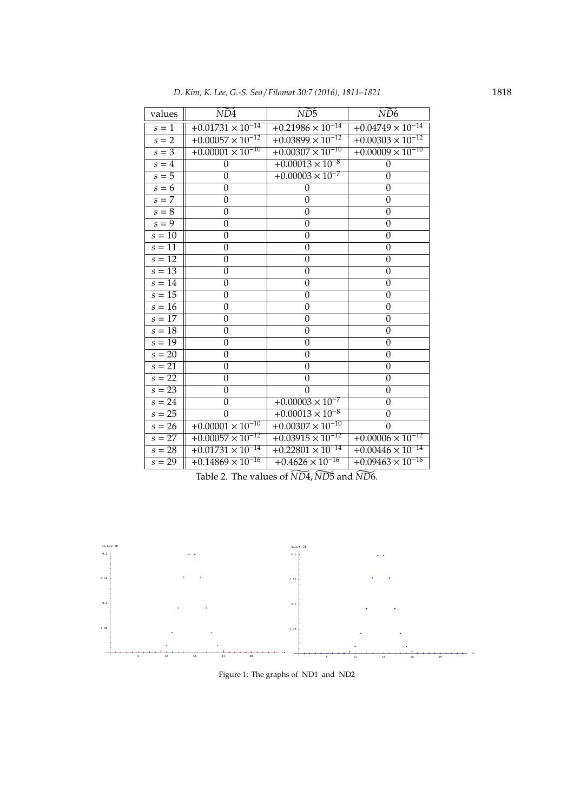| D. Kim, K. Lee, G.-S. Seo / Filomat 30:7 (2016), 1811–1821 | 1818 |
|------------------------------------------------------------|------|
|------------------------------------------------------------|------|

| values              | $\widetilde{ND4}$                     | $\widetilde{ND5}$          | $\widetilde{N\rm D6}$      |
|---------------------|---------------------------------------|----------------------------|----------------------------|
| $s=\overline{1}$    | $+0.01731 \times 10^{-14}$            | $+0.21986 \times 10^{-14}$ | $+0.04749 \times 10^{-14}$ |
| $s = 2$             | $+0.00057 \times 10^{-12}$            | $+0.03899 \times 10^{-12}$ | $+0.00303 \times 10^{-12}$ |
| $s=3$               | $+0.00001 \times 10^{-10}$            | $+0.00307 \times 10^{-10}$ | $+0.00009 \times 10^{-10}$ |
| $s = 4$             | $\boldsymbol{0}$                      | $+0.00013 \times 10^{-8}$  | $\boldsymbol{0}$           |
| $s=5$               | $\overline{0}$                        | $+0.00003 \times 10^{-7}$  | $\theta$                   |
| $s = 6$             | $\overline{0}$                        | $\mathbf{0}$               | $\overline{0}$             |
| $s = 7$             | $\overline{0}$                        | $\overline{0}$             | $\boldsymbol{0}$           |
| $s = 8$             | $\mathbf{0}$                          | $\boldsymbol{0}$           | $\boldsymbol{0}$           |
| $s = \overline{9}$  | $\boldsymbol{0}$                      | $\boldsymbol{0}$           | 0                          |
| $s = 10$            | $\theta$                              | $\mathbf{0}$               | $\mathbf{0}$               |
| $s = \overline{11}$ | $\mathbf{0}$                          | $\boldsymbol{0}$           | $\boldsymbol{0}$           |
| $s = 12$            | 0                                     | $\boldsymbol{0}$           | 0                          |
| $s = 13$            | $\boldsymbol{0}$                      | $\boldsymbol{0}$           | $\boldsymbol{0}$           |
| $s=14$              | $\boldsymbol{0}$                      | $\boldsymbol{0}$           | $\boldsymbol{0}$           |
| $s=15$              | $\overline{0}$                        | $\overline{0}$             | $\overline{0}$             |
| $s=16$              | $\mathbf{0}$                          | $\mathbf{0}$               | $\theta$                   |
| $s=17$              | $\overline{0}$                        | $\boldsymbol{0}$           | $\overline{0}$             |
| $s=18$              | $\boldsymbol{0}$                      | $\boldsymbol{0}$           | $\boldsymbol{0}$           |
| $s=19$              | $\Omega$                              | $\mathbf{0}$               | $\mathbf{0}$               |
| $s = 20$            | 0                                     | $\boldsymbol{0}$           | 0                          |
| $s = 21$            | 0                                     | $\overline{0}$             | 0                          |
| $s=22$              | $\boldsymbol{0}$                      | $\boldsymbol{0}$           | $\boldsymbol{0}$           |
| $s = 23$            | $\mathbf{0}$                          | $\Omega$                   | $\boldsymbol{0}$           |
| $s = 24$            | $\boldsymbol{0}$                      | $+0.00003 \times 10^{-7}$  | $\boldsymbol{0}$           |
| $s = 25$            | $\mathbf{0}$                          | $+0.00013 \times 10^{-8}$  | $\boldsymbol{0}$           |
| $s = 26$            | $+0.00001 \times 10^{-10}$            | $+0.00307 \times 10^{-10}$ | $\theta$                   |
| $s = 27$            | $+0.000\overline{57} \times 10^{-12}$ | $+0.03915 \times 10^{-12}$ | $+0.00006 \times 10^{-12}$ |
| $s = 28$            | $+0.01731 \times 10^{-14}$            | $+0.22801 \times 10^{-14}$ | $+0.00446 \times 10^{-14}$ |
| $s = 29$            | $+0.14869 \times 10^{-16}$            | $+0.4626 \times 10^{-16}$  | $+0.09463 \times 10^{-16}$ |

Table 2. The values of  $\widetilde{ND4}$ ,  $\widetilde{ND5}$  and  $\widetilde{ND6}$ .



Figure 1: The graphs of ND1 and ND2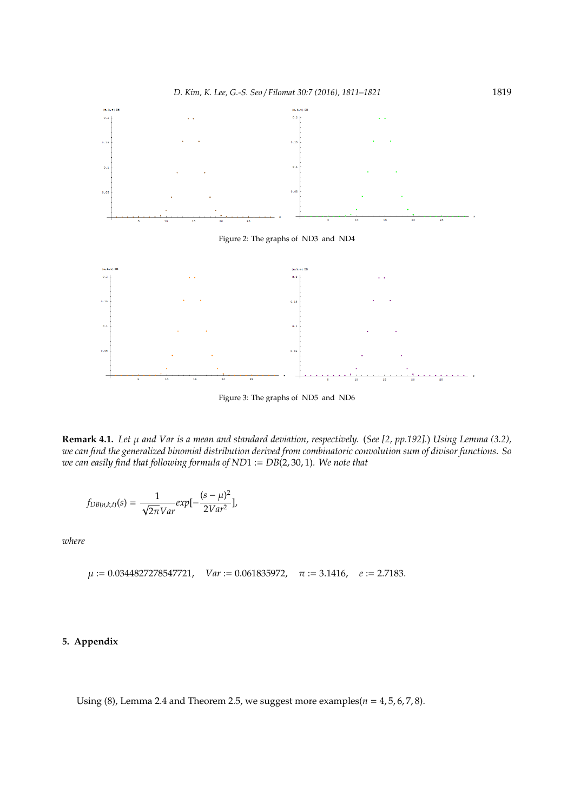

Figure 3: The graphs of ND5 and ND6

**Remark 4.1.** *Let* µ *and Var is a mean and standard deviation, respectively.* (*See [2, pp.192].*) *Using Lemma (3.2), we can find the generalized binomial distribution derived from combinatoric convolution sum of divisor functions. So we can easily find that following formula of ND*1 := *DB*(2, 30, 1)*. We note that*

$$
f_{DB(n,k,t)}(s) = \frac{1}{\sqrt{2\pi}Var} exp[-\frac{(s-\mu)^2}{2Var^2}],
$$

*where*

$$
\mu := 0.0344827278547721, \quad Var := 0.061835972, \quad \pi := 3.1416, \quad e := 2.7183.
$$

# **5. Appendix**

Using  $(8)$ , Lemma 2.4 and Theorem 2.5, we suggest more examples $(n = 4, 5, 6, 7, 8)$ .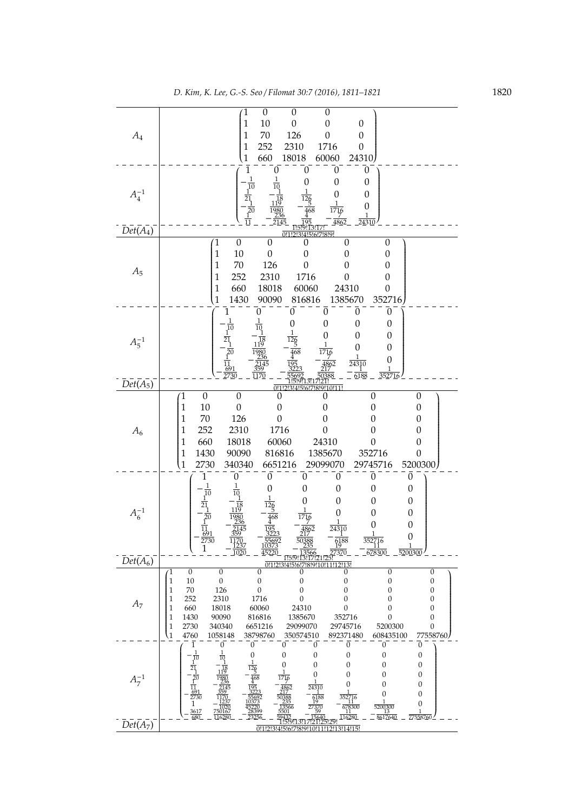|                                  | $\boldsymbol{0}$<br>$\boldsymbol{0}$<br>$\boldsymbol{0}$<br>$\mathfrak{1}$                                                                                                                                                                                   |
|----------------------------------|--------------------------------------------------------------------------------------------------------------------------------------------------------------------------------------------------------------------------------------------------------------|
|                                  | 10<br>$\mathbf{1}$<br>$\mathbf{0}$<br>$\boldsymbol{0}$<br>$\boldsymbol{0}$                                                                                                                                                                                   |
| $A_4$                            | 126<br>$\mathbf{1}$<br>70<br>$\boldsymbol{0}$<br>$\boldsymbol{0}$                                                                                                                                                                                            |
|                                  | 252<br>2310<br>1716<br>$\mathbf{1}$<br>$\mathbf{0}$<br>660<br>18018<br>60060<br>24310<br>$\mathbf{1}$                                                                                                                                                        |
|                                  | 0<br>$\boldsymbol{0}$<br>$\boldsymbol{0}$<br>1<br>0                                                                                                                                                                                                          |
|                                  | $\boldsymbol{0}$<br>$\boldsymbol{0}$<br>$\overline{0}$                                                                                                                                                                                                       |
| $A_4^{-1}$                       | $\overline{10}$<br>$\boldsymbol{0}$<br>0                                                                                                                                                                                                                     |
|                                  | 21<br>0                                                                                                                                                                                                                                                      |
|                                  | 1716<br>1                                                                                                                                                                                                                                                    |
| $\overline{Det}(\overline{A_4})$ | 4862<br>24310<br>0!1!2!3!4<br>6!7!8!9                                                                                                                                                                                                                        |
|                                  | $\boldsymbol{0}$<br>1<br>$\boldsymbol{0}$<br>$\boldsymbol{0}$<br>$\boldsymbol{0}$<br>0                                                                                                                                                                       |
|                                  | 10<br>$\mathbf{0}$<br>$\mathbf{1}$<br>$\boldsymbol{0}$<br>$\mathbf{0}$<br>0                                                                                                                                                                                  |
| $A_5$                            | 70<br>126<br>$\mathbf{1}$<br>$\mathbf{0}$<br>$\theta$<br>0                                                                                                                                                                                                   |
|                                  | 252<br>2310<br>1716<br>1<br>$\boldsymbol{0}$<br>0                                                                                                                                                                                                            |
|                                  | 660<br>$\mathbf{1}$<br>18018<br>60060<br>24310<br>$\boldsymbol{0}$                                                                                                                                                                                           |
|                                  | 352716<br>1430<br>90090<br>1385670<br>$\mathbf{1}$<br>816816<br>$\overline{0}$<br>$\boldsymbol{0}$<br>$\boldsymbol{0}$<br>0<br>0                                                                                                                             |
|                                  | $\overline{0}$<br>$\mathbf{0}$<br>$\boldsymbol{0}$<br>0                                                                                                                                                                                                      |
|                                  | 10<br>$\boldsymbol{0}$<br>$\overline{0}$<br>0                                                                                                                                                                                                                |
| $A_5^{-1}$                       | $\mathbf{0}$<br>$\overline{0}$                                                                                                                                                                                                                               |
|                                  | 468<br>1<br>0                                                                                                                                                                                                                                                |
|                                  | 24310<br>$\frac{11}{691}$<br>2730                                                                                                                                                                                                                            |
| $\overline{Det}(\overline{A_5})$ | $\overline{0!1}$<br>314151617181911                                                                                                                                                                                                                          |
|                                  | $\boldsymbol{0}$<br>$\boldsymbol{0}$<br>$\boldsymbol{0}$<br>0<br>$\boldsymbol{0}$<br>1<br>0                                                                                                                                                                  |
|                                  | 10<br>$\mathbf{0}$<br>1<br>$\boldsymbol{0}$<br>$\overline{0}$<br>0<br>0                                                                                                                                                                                      |
|                                  | 126<br>70<br>1<br>$\boldsymbol{0}$<br>$\boldsymbol{0}$<br>0<br>0                                                                                                                                                                                             |
| $A_6$                            | 252<br>2310<br>1716<br>1<br>$\boldsymbol{0}$<br>0<br>0                                                                                                                                                                                                       |
|                                  | 660<br>60060<br>24310<br>1<br>18018<br>$\boldsymbol{0}$<br>0                                                                                                                                                                                                 |
|                                  | $\mathbf 1$<br>1430<br>90090<br>816816<br>1385670<br>352716<br>0<br>6651216<br>5200300<br>$\mathbf{1}$<br>340340                                                                                                                                             |
|                                  | 2730<br>29099070<br>29745716<br>$\mathbf{0}$<br>$\boldsymbol{0}$<br>$\boldsymbol{0}$<br>$\theta$<br>0<br>0                                                                                                                                                   |
|                                  | $\boldsymbol{0}$<br>$\theta$<br>0<br>0<br>0                                                                                                                                                                                                                  |
|                                  | $\overline{0}$<br>0<br>$\boldsymbol{0}$<br>0                                                                                                                                                                                                                 |
| $A_6^{-1}$                       | $\boldsymbol{0}$<br>0<br>$\boldsymbol{0}$                                                                                                                                                                                                                    |
|                                  | 1<br>$\boldsymbol{0}$<br>$\boldsymbol{0}$                                                                                                                                                                                                                    |
|                                  | $\frac{11}{691}$<br>24310<br>0                                                                                                                                                                                                                               |
|                                  | 2730<br>1170<br>1237<br>5569.<br><u>10373</u><br>6188<br>19<br>352716<br>11<br>$\mathbf{1}$<br>1020<br>45220<br>678300<br>27370<br>5200300                                                                                                                   |
| $\overline{Det}(\overline{A_6})$ | 3566<br>3117121<br>1.5.9! לֹוֹ<br>181911<br>2!13                                                                                                                                                                                                             |
|                                  | $\overline{0}$<br>$\boldsymbol{0}$<br>$\mathbf{0}$<br>$\boldsymbol{0}$<br>$\mathbf{0}$<br>0<br>Ί<br>0<br>10<br>$\boldsymbol{0}$<br>$\boldsymbol{0}$<br>$\boldsymbol{0}$<br>$\boldsymbol{0}$                                                                  |
|                                  | $\boldsymbol{0}$<br>$\boldsymbol{0}$<br>$\mathbf{1}$<br>126<br>$\boldsymbol{0}$<br>70<br>$\boldsymbol{0}$<br>$\boldsymbol{0}$<br>$\mathbf{1}$<br>$\boldsymbol{0}$<br>$\boldsymbol{0}$                                                                        |
| $A_7$                            | 252<br>2310<br>1716<br>$\boldsymbol{0}$<br>$\mathbf{1}$<br>$\mathbf{0}$<br>$\boldsymbol{0}$<br>$\boldsymbol{0}$                                                                                                                                              |
|                                  | 18018<br>60060<br>24310<br>$\mathbf{1}$<br>660<br>0<br>$\boldsymbol{0}$<br>$\mathbf{0}$<br>90090<br>816816<br>1385670<br>352716<br>$\mathbf{1}$<br>1430<br>$\boldsymbol{0}$<br>$\mathbf{0}$                                                                  |
|                                  | $\,1\,$<br>2730<br>340340<br>6651216<br>29745716<br>5200300<br>29099070<br>$\boldsymbol{0}$                                                                                                                                                                  |
|                                  | $\overline{1}$<br>4760<br>1058148<br>38798760<br>77558760<br>892371480<br>608435100<br>350574510                                                                                                                                                             |
|                                  | $\boldsymbol{0}$<br>$\overline{0}$<br>$\boldsymbol{0}$<br>$\boldsymbol{0}$<br>$\boldsymbol{0}$<br>$\boldsymbol{0}$<br>1<br>0<br>1<br>1<br>$\boldsymbol{0}$<br>$\boldsymbol{0}$<br>$\overline{0}$<br>$\boldsymbol{0}$<br>$\boldsymbol{0}$<br>$\boldsymbol{0}$ |
|                                  | $\frac{1}{10}$<br>$\frac{1}{21}$<br>10<br>$\boldsymbol{0}$<br>$\boldsymbol{0}$<br>$\boldsymbol{0}$<br>$\overline{0}$<br>$\boldsymbol{0}$                                                                                                                     |
| $A_7^{-1}$                       | $\boldsymbol{0}$<br>$\boldsymbol{0}$<br>0<br>0<br>$\overline{\underline{f}^0}$<br>1                                                                                                                                                                          |
|                                  | $\mathbf{0}$<br>0<br>$\boldsymbol{0}$<br>$\frac{1}{10}$<br>$\frac{691}{2730}$<br>24310<br>1                                                                                                                                                                  |
|                                  | $\boldsymbol{0}$<br>0<br>352716<br>6188<br>$\mathbf{1}$<br>$\boldsymbol{0}$                                                                                                                                                                                  |
|                                  | $\frac{678300}{11}$<br>5200300<br>1020<br>750167<br>$\frac{3617}{680}$<br>1<br>8617640<br>77558760<br>116280<br>116280                                                                                                                                       |
| $\overline{Det}(\overline{A_7})$ | 0!1!2!3!4!5!6!7<br>3114115<br>81011011                                                                                                                                                                                                                       |